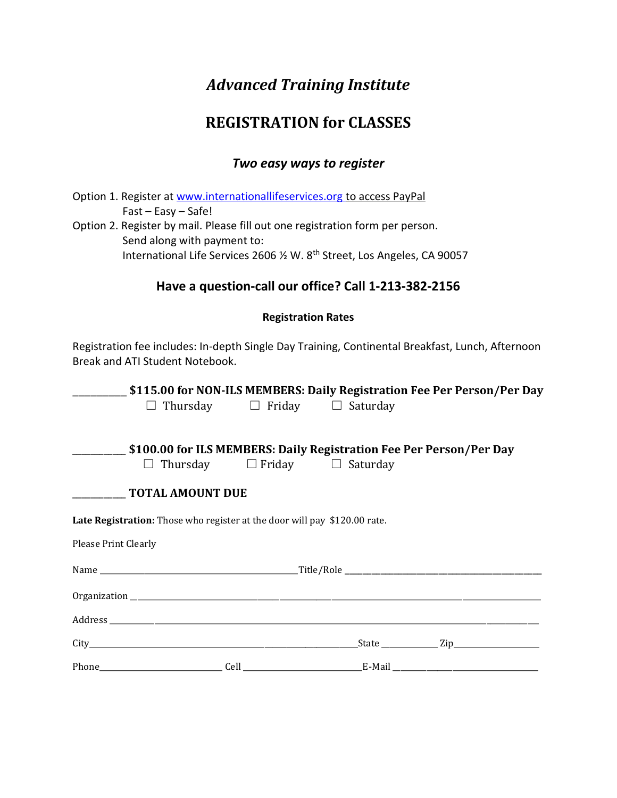# *Advanced Training Institute*

## **REGISTRATION for CLASSES**

## *Two easy ways to register*

Option 1. Register at [www.internationallifeservices.org](http://www.internationallifeservices.org/) to access PayPal Fast – Easy – Safe! Option 2. Register by mail. Please fill out one registration form per person. Send along with payment to: International Life Services 2606 % W. 8<sup>th</sup> Street, Los Angeles, CA 90057

## **Have a question-call our office? Call 1-213-382-2156**

### **Registration Rates**

Registration fee includes: In-depth Single Day Training, Continental Breakfast, Lunch, Afternoon Break and ATI Student Notebook.

|                                                                           |                                               |  | \$115.00 for NON-ILS MEMBERS: Daily Registration Fee Per Person/Per Day |
|---------------------------------------------------------------------------|-----------------------------------------------|--|-------------------------------------------------------------------------|
|                                                                           | $\Box$ Thursday $\Box$ Friday $\Box$ Saturday |  |                                                                         |
|                                                                           |                                               |  | \$100.00 for ILS MEMBERS: Daily Registration Fee Per Person/Per Day     |
| $\Box$ Thursday $\Box$ Friday $\Box$ Saturday                             |                                               |  |                                                                         |
| <b>______________ TOTAL AMOUNT DUE</b>                                    |                                               |  |                                                                         |
| Late Registration: Those who register at the door will pay \$120.00 rate. |                                               |  |                                                                         |
| <b>Please Print Clearly</b>                                               |                                               |  |                                                                         |
|                                                                           |                                               |  |                                                                         |
|                                                                           |                                               |  |                                                                         |
|                                                                           |                                               |  |                                                                         |
|                                                                           |                                               |  |                                                                         |
|                                                                           |                                               |  |                                                                         |